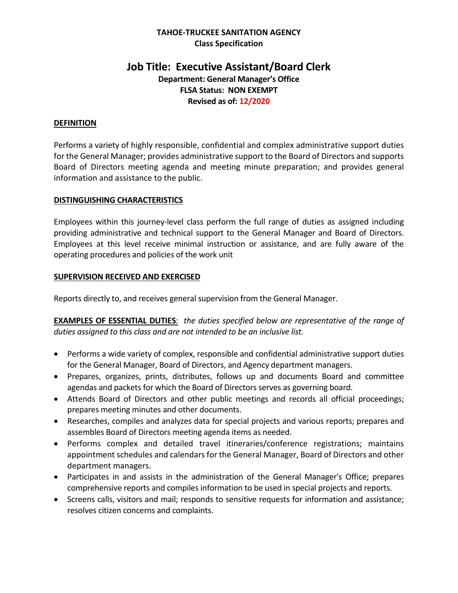#### **TAHOE-TRUCKEE SANITATION AGENCY Class Specification**

# **Job Title: Executive Assistant/Board Clerk**

**Department: General Manager's Office FLSA Status: NON EXEMPT Revised as of: 12/2020**

### **DEFINITION**

Performs a variety of highly responsible, confidential and complex administrative support duties for the General Manager; provides administrative support to the Board of Directors and supports Board of Directors meeting agenda and meeting minute preparation; and provides general information and assistance to the public.

#### **DISTINGUISHING CHARACTERISTICS**

Employees within this journey-level class perform the full range of duties as assigned including providing administrative and technical support to the General Manager and Board of Directors. Employees at this level receive minimal instruction or assistance, and are fully aware of the operating procedures and policies of the work unit

#### **SUPERVISION RECEIVED AND EXERCISED**

Reports directly to, and receives general supervision from the General Manager.

**EXAMPLES OF ESSENTIAL DUTIES**: *the duties specified below are representative of the range of duties assigned to this class and are not intended to be an inclusive list.* 

- Performs a wide variety of complex, responsible and confidential administrative support duties for the General Manager, Board of Directors, and Agency department managers.
- Prepares, organizes, prints, distributes, follows up and documents Board and committee agendas and packets for which the Board of Directors serves as governing board.
- Attends Board of Directors and other public meetings and records all official proceedings; prepares meeting minutes and other documents.
- Researches, compiles and analyzes data for special projects and various reports; prepares and assembles Board of Directors meeting agenda items as needed.
- Performs complex and detailed travel itineraries/conference registrations; maintains appointment schedules and calendars for the General Manager, Board of Directors and other department managers.
- Participates in and assists in the administration of the General Manager's Office; prepares comprehensive reports and compiles information to be used in special projects and reports.
- Screens calls, visitors and mail; responds to sensitive requests for information and assistance; resolves citizen concerns and complaints.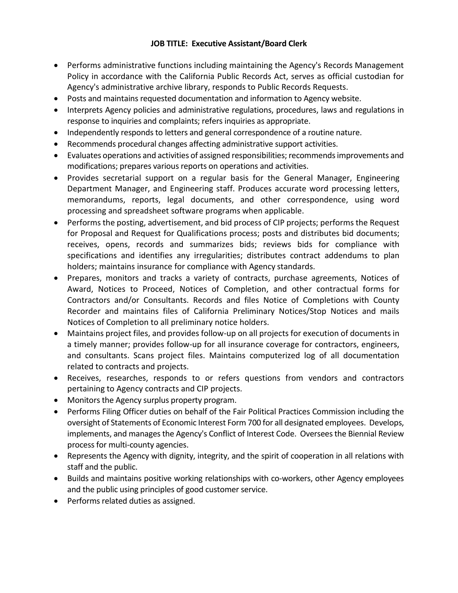# **JOB TITLE: Executive Assistant/Board Clerk**

- Performs administrative functions including maintaining the Agency's Records Management Policy in accordance with the California Public Records Act, serves as official custodian for Agency's administrative archive library, responds to Public Records Requests.
- Posts and maintains requested documentation and information to Agency website.
- Interprets Agency policies and administrative regulations, procedures, laws and regulations in response to inquiries and complaints; refers inquiries as appropriate.
- Independently responds to letters and general correspondence of a routine nature.
- Recommends procedural changes affecting administrative support activities.
- Evaluates operations and activities of assigned responsibilities; recommends improvements and modifications; prepares various reports on operations and activities.
- Provides secretarial support on a regular basis for the General Manager, Engineering Department Manager, and Engineering staff. Produces accurate word processing letters, memorandums, reports, legal documents, and other correspondence, using word processing and spreadsheet software programs when applicable.
- Performs the posting, advertisement, and bid process of CIP projects; performs the Request for Proposal and Request for Qualifications process; posts and distributes bid documents; receives, opens, records and summarizes bids; reviews bids for compliance with specifications and identifies any irregularities; distributes contract addendums to plan holders; maintains insurance for compliance with Agency standards.
- Prepares, monitors and tracks a variety of contracts, purchase agreements, Notices of Award, Notices to Proceed, Notices of Completion, and other contractual forms for Contractors and/or Consultants. Records and files Notice of Completions with County Recorder and maintains files of California Preliminary Notices/Stop Notices and mails Notices of Completion to all preliminary notice holders.
- Maintains project files, and provides follow-up on all projects for execution of documents in a timely manner; provides follow-up for all insurance coverage for contractors, engineers, and consultants. Scans project files. Maintains computerized log of all documentation related to contracts and projects.
- Receives, researches, responds to or refers questions from vendors and contractors pertaining to Agency contracts and CIP projects.
- Monitors the Agency surplus property program.
- Performs Filing Officer duties on behalf of the Fair Political Practices Commission including the oversight of Statements of Economic Interest Form 700 for all designated employees. Develops, implements, and manages the Agency's Conflict of Interest Code. Oversees the Biennial Review process for multi-county agencies.
- Represents the Agency with dignity, integrity, and the spirit of cooperation in all relations with staff and the public.
- Builds and maintains positive working relationships with co-workers, other Agency employees and the public using principles of good customer service.
- Performs related duties as assigned.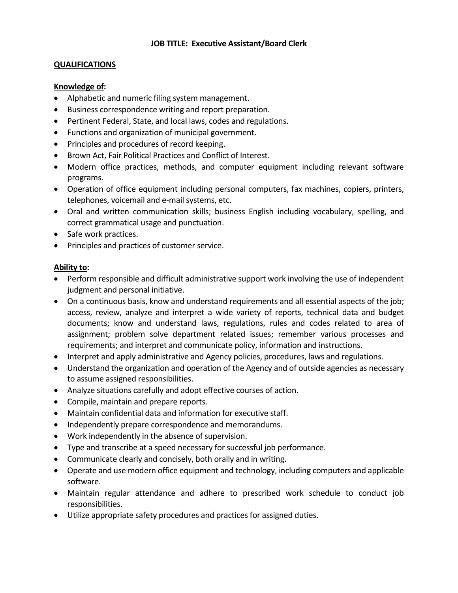# **JOB TITLE: Executive Assistant/Board Clerk**

## **QUALIFICATIONS**

#### **Knowledge of:**

- Alphabetic and numeric filing system management.
- Business correspondence writing and report preparation.
- Pertinent Federal, State, and local laws, codes and regulations.
- Functions and organization of municipal government.
- Principles and procedures of record keeping.
- Brown Act, Fair Political Practices and Conflict of Interest.
- Modern office practices, methods, and computer equipment including relevant software programs.
- Operation of office equipment including personal computers, fax machines, copiers, printers, telephones, voicemail and e-mail systems, etc.
- Oral and written communication skills; business English including vocabulary, spelling, and correct grammatical usage and punctuation.
- Safe work practices.
- Principles and practices of customer service.

#### **Ability to:**

- Perform responsible and difficult administrative support work involving the use of independent judgment and personal initiative.
- On a continuous basis, know and understand requirements and all essential aspects of the job; access, review, analyze and interpret a wide variety of reports, technical data and budget documents; know and understand laws, regulations, rules and codes related to area of assignment; problem solve department related issues; remember various processes and requirements; and interpret and communicate policy, information and instructions.
- Interpret and apply administrative and Agency policies, procedures, laws and regulations.
- Understand the organization and operation of the Agency and of outside agencies as necessary to assume assigned responsibilities.
- Analyze situations carefully and adopt effective courses of action.
- Compile, maintain and prepare reports.
- Maintain confidential data and information for executive staff.
- Independently prepare correspondence and memorandums.
- Work independently in the absence of supervision.
- Type and transcribe at a speed necessary for successful job performance.
- Communicate clearly and concisely, both orally and in writing.
- Operate and use modern office equipment and technology, including computers and applicable software.
- Maintain regular attendance and adhere to prescribed work schedule to conduct job responsibilities.
- Utilize appropriate safety procedures and practices for assigned duties.